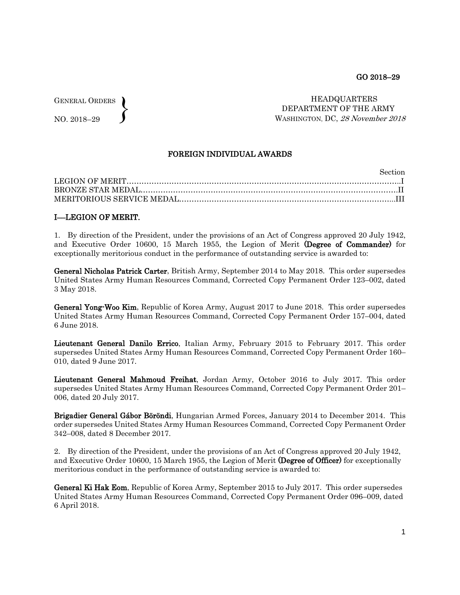GENERAL ORDERS NO. 2018–29  $\left\{ \right\}$ 

 HEADQUARTERS DEPARTMENT OF THE ARMY WASHINGTON, DC, 28 November 2018

## FOREIGN INDIVIDUAL AWARDS

| <b>Section</b> |
|----------------|
|                |
|                |
|                |

## I––LEGION OF MERIT.

1. By direction of the President, under the provisions of an Act of Congress approved 20 July 1942, and Executive Order 10600, 15 March 1955, the Legion of Merit (Degree of Commander) for exceptionally meritorious conduct in the performance of outstanding service is awarded to:

General Nicholas Patrick Carter, British Army, September 2014 to May 2018. This order supersedes United States Army Human Resources Command, Corrected Copy Permanent Order 123–002, dated 3 May 2018.

General Yong-Woo Kim, Republic of Korea Army, August 2017 to June 2018. This order supersedes United States Army Human Resources Command, Corrected Copy Permanent Order 157–004, dated 6 June 2018.

Lieutenant General Danilo Errico, Italian Army, February 2015 to February 2017. This order supersedes United States Army Human Resources Command, Corrected Copy Permanent Order 160– 010, dated 9 June 2017.

Lieutenant General Mahmoud Freihat, Jordan Army, October 2016 to July 2017. This order supersedes United States Army Human Resources Command, Corrected Copy Permanent Order 201– 006, dated 20 July 2017.

Brigadier General Gábor Böröndi, Hungarian Armed Forces, January 2014 to December 2014. This order supersedes United States Army Human Resources Command, Corrected Copy Permanent Order 342–008, dated 8 December 2017.

2. By direction of the President, under the provisions of an Act of Congress approved 20 July 1942, and Executive Order 10600, 15 March 1955, the Legion of Merit (Degree of Officer) for exceptionally meritorious conduct in the performance of outstanding service is awarded to:

General Ki Hak Eom, Republic of Korea Army, September 2015 to July 2017. This order supersedes United States Army Human Resources Command, Corrected Copy Permanent Order 096–009, dated 6 April 2018.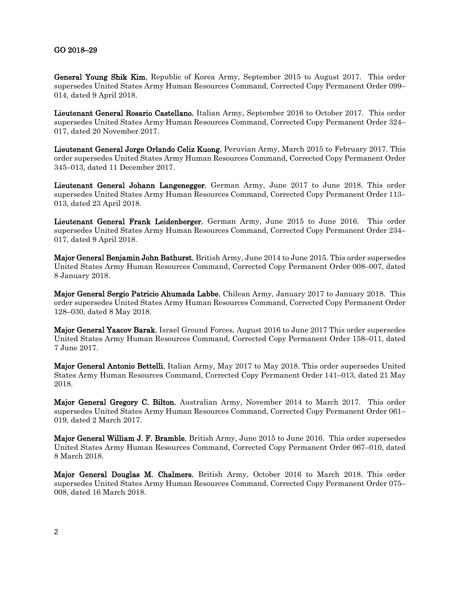## GO 2018–29

General Young Shik Kim, Republic of Korea Army, September 2015 to August 2017. This order supersedes United States Army Human Resources Command, Corrected Copy Permanent Order 099– 014, dated 9 April 2018.

Lieutenant General Rosario Castellano, Italian Army, September 2016 to October 2017. This order supersedes United States Army Human Resources Command, Corrected Copy Permanent Order 324– 017, dated 20 November 2017.

Lieutenant General Jorge Orlando Celiz Kuong, Peruvian Army, March 2015 to February 2017. This order supersedes United States Army Human Resources Command, Corrected Copy Permanent Order 345–013, dated 11 December 2017.

Lieutenant General Johann Langenegger, German Army, June 2017 to June 2018. This order supersedes United States Army Human Resources Command, Corrected Copy Permanent Order 113– 013, dated 23 April 2018.

Lieutenant General Frank Leidenberger, German Army, June 2015 to June 2016. This order supersedes United States Army Human Resources Command, Corrected Copy Permanent Order 234– 017, dated 9 April 2018.

Major General Benjamin John Bathurst, British Army, June 2014 to June 2015. This order supersedes United States Army Human Resources Command, Corrected Copy Permanent Order 008–007, dated 8 January 2018.

Major General Sergio Patricio Ahumada Labbe, Chilean Army, January 2017 to January 2018. This order supersedes United States Army Human Resources Command, Corrected Copy Permanent Order 128–030, dated 8 May 2018.

Major General Yaacov Barak, Israel Ground Forces, August 2016 to June 2017 This order supersedes United States Army Human Resources Command, Corrected Copy Permanent Order 158–011, dated 7 June 2017.

Major General Antonio Bettelli, Italian Army, May 2017 to May 2018. This order supersedes United States Army Human Resources Command, Corrected Copy Permanent Order 141–013, dated 21 May 2018.

Major General Gregory C. Bilton, Australian Army, November 2014 to March 2017. This order supersedes United States Army Human Resources Command, Corrected Copy Permanent Order 061– 019, dated 2 March 2017.

Major General William J. F. Bramble, British Army, June 2015 to June 2016. This order supersedes United States Army Human Resources Command, Corrected Copy Permanent Order 067–010, dated 8 March 2018.

Major General Douglas M. Chalmers, British Army, October 2016 to March 2018. This order supersedes United States Army Human Resources Command, Corrected Copy Permanent Order 075– 008, dated 16 March 2018.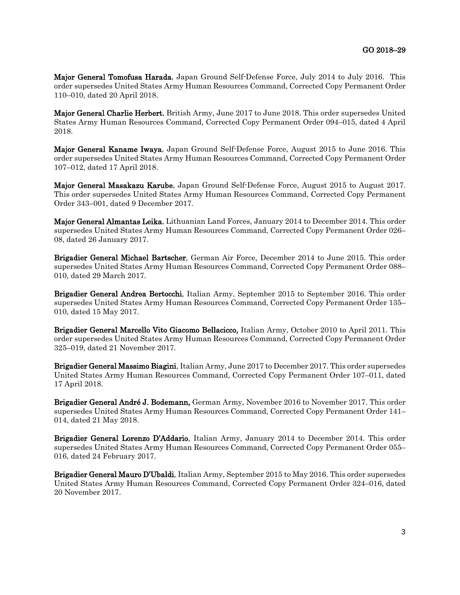Major General Tomofusa Harada, Japan Ground Self-Defense Force, July 2014 to July 2016. This order supersedes United States Army Human Resources Command, Corrected Copy Permanent Order 110–010, dated 20 April 2018.

Major General Charlie Herbert, British Army, June 2017 to June 2018. This order supersedes United States Army Human Resources Command, Corrected Copy Permanent Order 094–015, dated 4 April 2018.

Major General Kaname Iwaya, Japan Ground Self-Defense Force, August 2015 to June 2016. This order supersedes United States Army Human Resources Command, Corrected Copy Permanent Order 107–012, dated 17 April 2018.

Major General Masakazu Karube, Japan Ground Self-Defense Force, August 2015 to August 2017. This order supersedes United States Army Human Resources Command, Corrected Copy Permanent Order 343–001, dated 9 December 2017.

Major General Almantas Leika, Lithuanian Land Forces, January 2014 to December 2014. This order supersedes United States Army Human Resources Command, Corrected Copy Permanent Order 026– 08, dated 26 January 2017.

Brigadier General Michael Bartscher, German Air Force, December 2014 to June 2015. This order supersedes United States Army Human Resources Command, Corrected Copy Permanent Order 088– 010, dated 29 March 2017.

Brigadier General Andrea Bertocchi, Italian Army, September 2015 to September 2016. This order supersedes United States Army Human Resources Command, Corrected Copy Permanent Order 135– 010, dated 15 May 2017.

Brigadier General Marcello Vito Giacomo Bellacicco, Italian Army, October 2010 to April 2011. This order supersedes United States Army Human Resources Command, Corrected Copy Permanent Order 325–019, dated 21 November 2017.

Brigadier General Massimo Biagini, Italian Army, June 2017 to December 2017. This order supersedes United States Army Human Resources Command, Corrected Copy Permanent Order 107–011, dated 17 April 2018.

Brigadier General André J. Bodemann, German Army, November 2016 to November 2017. This order supersedes United States Army Human Resources Command, Corrected Copy Permanent Order 141– 014, dated 21 May 2018.

Brigadier General Lorenzo D'Addario, Italian Army, January 2014 to December 2014. This order supersedes United States Army Human Resources Command, Corrected Copy Permanent Order 055– 016, dated 24 February 2017.

Brigadier General Mauro D'Ubaldi, Italian Army, September 2015 to May 2016. This order supersedes United States Army Human Resources Command, Corrected Copy Permanent Order 324–016, dated 20 November 2017.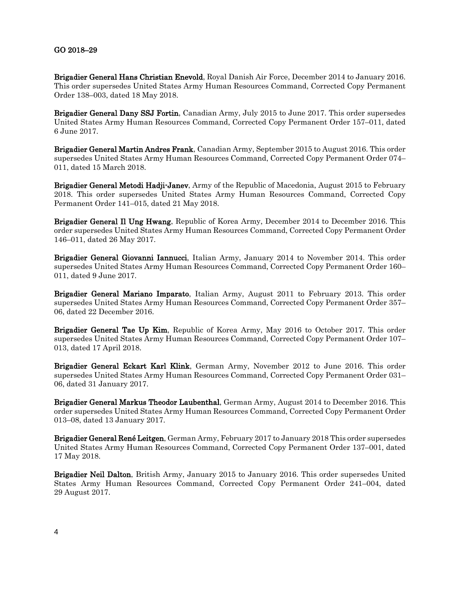## GO 2018–29

Brigadier General Hans Christian Enevold, Royal Danish Air Force, December 2014 to January 2016. This order supersedes United States Army Human Resources Command, Corrected Copy Permanent Order 138–003, dated 18 May 2018.

Brigadier General Dany SSJ Fortin, Canadian Army, July 2015 to June 2017. This order supersedes United States Army Human Resources Command, Corrected Copy Permanent Order 157–011, dated 6 June 2017.

Brigadier General Martin Andres Frank, Canadian Army, September 2015 to August 2016. This order supersedes United States Army Human Resources Command, Corrected Copy Permanent Order 074– 011, dated 15 March 2018.

**Brigadier General Metodi Hadji-Janev**, Army of the Republic of Macedonia, August 2015 to February 2018. This order supersedes United States Army Human Resources Command, Corrected Copy Permanent Order 141–015, dated 21 May 2018.

Brigadier General Il Ung Hwang, Republic of Korea Army, December 2014 to December 2016. This order supersedes United States Army Human Resources Command, Corrected Copy Permanent Order 146–011, dated 26 May 2017.

Brigadier General Giovanni Iannucci, Italian Army, January 2014 to November 2014. This order supersedes United States Army Human Resources Command, Corrected Copy Permanent Order 160– 011, dated 9 June 2017.

Brigadier General Mariano Imparato, Italian Army, August 2011 to February 2013. This order supersedes United States Army Human Resources Command, Corrected Copy Permanent Order 357– 06, dated 22 December 2016.

Brigadier General Tae Up Kim, Republic of Korea Army, May 2016 to October 2017. This order supersedes United States Army Human Resources Command, Corrected Copy Permanent Order 107– 013, dated 17 April 2018.

Brigadier General Eckart Karl Klink, German Army, November 2012 to June 2016. This order supersedes United States Army Human Resources Command, Corrected Copy Permanent Order 031– 06, dated 31 January 2017.

Brigadier General Markus Theodor Laubenthal, German Army, August 2014 to December 2016. This order supersedes United States Army Human Resources Command, Corrected Copy Permanent Order 013–08, dated 13 January 2017.

Brigadier General René Leitgen, German Army, February 2017 to January 2018 This order supersedes United States Army Human Resources Command, Corrected Copy Permanent Order 137–001, dated 17 May 2018.

Brigadier Neil Dalton, British Army, January 2015 to January 2016. This order supersedes United States Army Human Resources Command, Corrected Copy Permanent Order 241–004, dated 29 August 2017.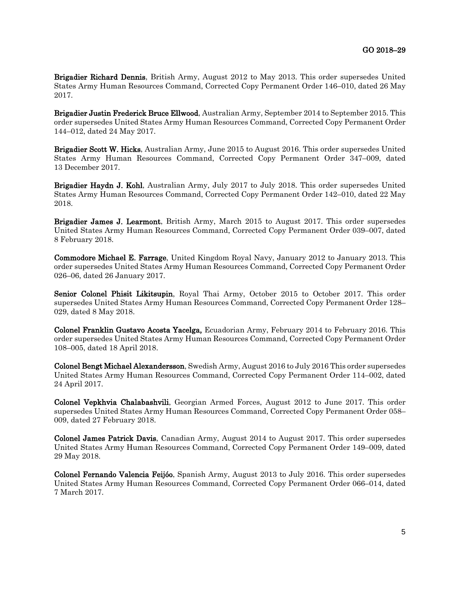Brigadier Richard Dennis, British Army, August 2012 to May 2013. This order supersedes United States Army Human Resources Command, Corrected Copy Permanent Order 146–010, dated 26 May 2017.

Brigadier Justin Frederick Bruce Ellwood, Australian Army, September 2014 to September 2015. This order supersedes United States Army Human Resources Command, Corrected Copy Permanent Order 144–012, dated 24 May 2017.

Brigadier Scott W. Hicks, Australian Army, June 2015 to August 2016. This order supersedes United States Army Human Resources Command, Corrected Copy Permanent Order 347–009, dated 13 December 2017.

Brigadier Haydn J. Kohl, Australian Army, July 2017 to July 2018. This order supersedes United States Army Human Resources Command, Corrected Copy Permanent Order 142–010, dated 22 May 2018.

Brigadier James J. Learmont, British Army, March 2015 to August 2017. This order supersedes United States Army Human Resources Command, Corrected Copy Permanent Order 039–007, dated 8 February 2018.

Commodore Michael E. Farrage, United Kingdom Royal Navy, January 2012 to January 2013. This order supersedes United States Army Human Resources Command, Corrected Copy Permanent Order 026–06, dated 26 January 2017.

Senior Colonel Phisit Likitsupin, Royal Thai Army, October 2015 to October 2017. This order supersedes United States Army Human Resources Command, Corrected Copy Permanent Order 128– 029, dated 8 May 2018.

Colonel Franklin Gustavo Acosta Yacelga, Ecuadorian Army, February 2014 to February 2016. This order supersedes United States Army Human Resources Command, Corrected Copy Permanent Order 108–005, dated 18 April 2018.

Colonel Bengt Michael Alexandersson, Swedish Army, August 2016 to July 2016 This order supersedes United States Army Human Resources Command, Corrected Copy Permanent Order 114–002, dated 24 April 2017.

Colonel Vepkhvia Chalabashvili, Georgian Armed Forces, August 2012 to June 2017. This order supersedes United States Army Human Resources Command, Corrected Copy Permanent Order 058– 009, dated 27 February 2018.

Colonel James Patrick Davis, Canadian Army, August 2014 to August 2017. This order supersedes United States Army Human Resources Command, Corrected Copy Permanent Order 149–009, dated 29 May 2018.

Colonel Fernando Valencia Feijóo, Spanish Army, August 2013 to July 2016. This order supersedes United States Army Human Resources Command, Corrected Copy Permanent Order 066–014, dated 7 March 2017.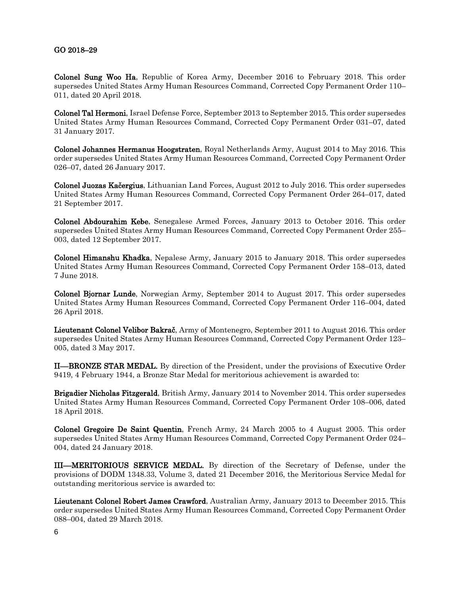## GO 2018–29

Colonel Sung Woo Ha, Republic of Korea Army, December 2016 to February 2018. This order supersedes United States Army Human Resources Command, Corrected Copy Permanent Order 110– 011, dated 20 April 2018.

Colonel Tal Hermoni, Israel Defense Force, September 2013 to September 2015. This order supersedes United States Army Human Resources Command, Corrected Copy Permanent Order 031–07, dated 31 January 2017.

Colonel Johannes Hermanus Hoogstraten, Royal Netherlands Army, August 2014 to May 2016. This order supersedes United States Army Human Resources Command, Corrected Copy Permanent Order 026–07, dated 26 January 2017.

Colonel Juozas Kačergius, Lithuanian Land Forces, August 2012 to July 2016. This order supersedes United States Army Human Resources Command, Corrected Copy Permanent Order 264–017, dated 21 September 2017.

Colonel Abdourahim Kebe, Senegalese Armed Forces, January 2013 to October 2016. This order supersedes United States Army Human Resources Command, Corrected Copy Permanent Order 255– 003, dated 12 September 2017.

Colonel Himanshu Khadka, Nepalese Army, January 2015 to January 2018. This order supersedes United States Army Human Resources Command, Corrected Copy Permanent Order 158–013, dated 7 June 2018.

Colonel Bjornar Lunde, Norwegian Army, September 2014 to August 2017. This order supersedes United States Army Human Resources Command, Corrected Copy Permanent Order 116–004, dated 26 April 2018.

Lieutenant Colonel Velibor Bakrač, Army of Montenegro, September 2011 to August 2016. This order supersedes United States Army Human Resources Command, Corrected Copy Permanent Order 123– 005, dated 3 May 2017.

II––BRONZE STAR MEDAL. By direction of the President, under the provisions of Executive Order 9419, 4 February 1944, a Bronze Star Medal for meritorious achievement is awarded to:

Brigadier Nicholas Fitzgerald, British Army, January 2014 to November 2014. This order supersedes United States Army Human Resources Command, Corrected Copy Permanent Order 108–006, dated 18 April 2018.

Colonel Gregoire De Saint Quentin, French Army, 24 March 2005 to 4 August 2005. This order supersedes United States Army Human Resources Command, Corrected Copy Permanent Order 024– 004, dated 24 January 2018.

III––MERITORIOUS SERVICE MEDAL. By direction of the Secretary of Defense, under the provisions of DODM 1348.33, Volume 3, dated 21 December 2016, the Meritorious Service Medal for outstanding meritorious service is awarded to:

Lieutenant Colonel Robert James Crawford, Australian Army, January 2013 to December 2015. This order supersedes United States Army Human Resources Command, Corrected Copy Permanent Order 088–004, dated 29 March 2018.